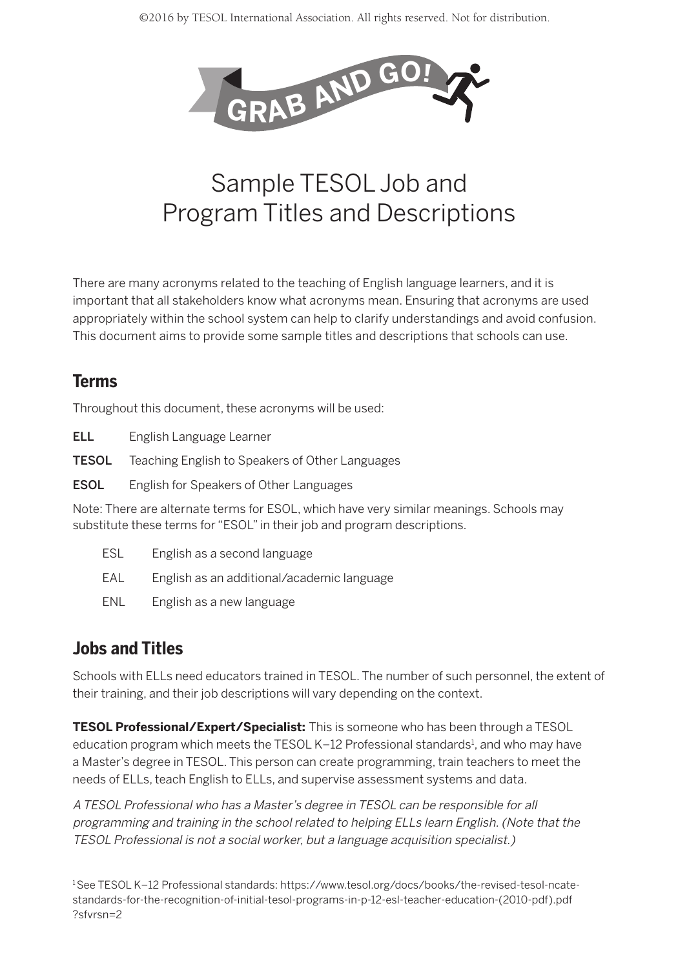

# Sample TESOL Job and Program Titles and Descriptions

There are many acronyms related to the teaching of English language learners, and it is important that all stakeholders know what acronyms mean. Ensuring that acronyms are used appropriately within the school system can help to clarify understandings and avoid confusion. This document aims to provide some sample titles and descriptions that schools can use.

#### **Terms**

Throughout this document, these acronyms will be used:

- ELL English Language Learner
- **TESOL** Teaching English to Speakers of Other Languages
- **ESOL** English for Speakers of Other Languages

Note: There are alternate terms for ESOL, which have very similar meanings. Schools may substitute these terms for "ESOL" in their job and program descriptions.

- ESL English as a second language
- EAL English as an additional/academic language
- ENL English as a new language

### **Jobs and Titles**

Schools with ELLs need educators trained in TESOL. The number of such personnel, the extent of their training, and their job descriptions will vary depending on the context.

**TESOL Professional/Expert/Specialist:** This is someone who has been through a TESOL education program which meets the TESOL K-12 Professional standards<sup>1</sup>, and who may have a Master's degree in TESOL. This person can create programming, train teachers to meet the needs of ELLs, teach English to ELLs, and supervise assessment systems and data.

A TESOL Professional who has a Master's degree in TESOL can be responsible for all programming and training in the school related to helping ELLs learn English. (Note that the TESOL Professional is not a social worker, but a language acquisition specialist.)

1See TESOL K–12 Professional standards: https://www.tesol.org/docs/books/the-revised-tesol-ncatestandards-for-the-recognition-of-initial-tesol-programs-in-p-12-esl-teacher-education-(2010-pdf).pdf ?sfvrsn=2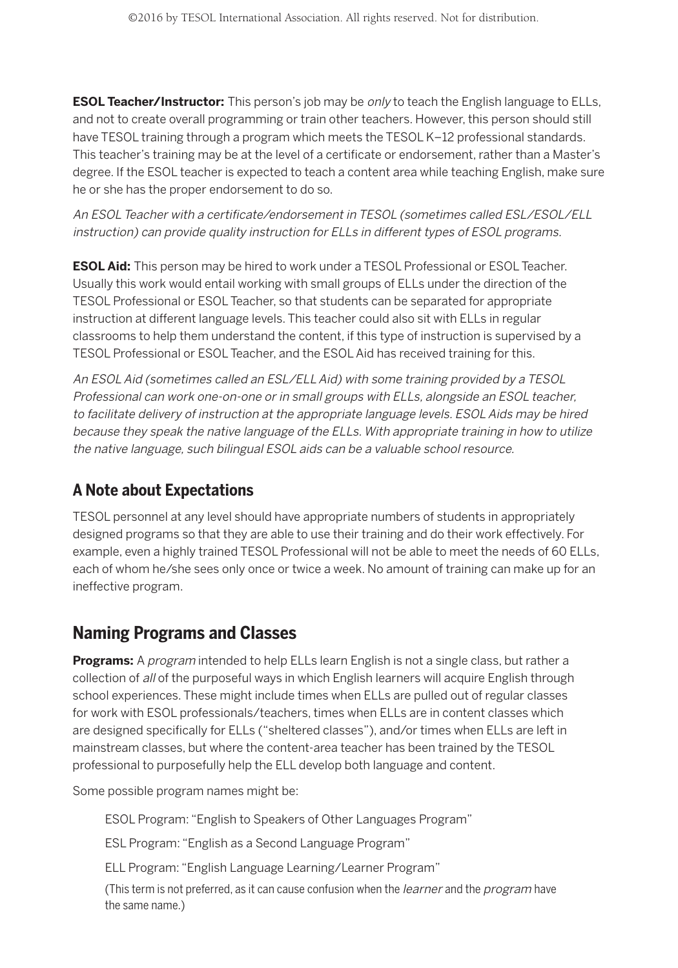**ESOL Teacher/Instructor:** This person's job may be *only* to teach the English language to ELLs, and not to create overall programming or train other teachers. However, this person should still have TESOL training through a program which meets the TESOL K–12 professional standards. This teacher's training may be at the level of a certificate or endorsement, rather than a Master's degree. If the ESOL teacher is expected to teach a content area while teaching English, make sure he or she has the proper endorsement to do so.

An ESOL Teacher with a certificate/endorsement in TESOL (sometimes called ESL/ESOL/ELL instruction) can provide quality instruction for ELLs in different types of ESOL programs.

**ESOL Aid:** This person may be hired to work under a TESOL Professional or ESOL Teacher. Usually this work would entail working with small groups of ELLs under the direction of the TESOL Professional or ESOL Teacher, so that students can be separated for appropriate instruction at different language levels. This teacher could also sit with ELLs in regular classrooms to help them understand the content, if this type of instruction is supervised by a TESOL Professional or ESOL Teacher, and the ESOL Aid has received training for this.

An ESOL Aid (sometimes called an ESL/ELL Aid) with some training provided by a TESOL Professional can work one-on-one or in small groups with ELLs, alongside an ESOL teacher, to facilitate delivery of instruction at the appropriate language levels. ESOL Aids may be hired because they speak the native language of the ELLs. With appropriate training in how to utilize the native language, such bilingual ESOL aids can be a valuable school resource.

## **A Note about Expectations**

TESOL personnel at any level should have appropriate numbers of students in appropriately designed programs so that they are able to use their training and do their work effectively. For example, even a highly trained TESOL Professional will not be able to meet the needs of 60 ELLs, each of whom he/she sees only once or twice a week. No amount of training can make up for an ineffective program.

### **Naming Programs and Classes**

**Programs:** A *program* intended to help ELLs learn English is not a single class, but rather a collection of all of the purposeful ways in which English learners will acquire English through school experiences. These might include times when ELLs are pulled out of regular classes for work with ESOL professionals/teachers, times when ELLs are in content classes which are designed specifically for ELLs ("sheltered classes"), and/or times when ELLs are left in mainstream classes, but where the content-area teacher has been trained by the TESOL professional to purposefully help the ELL develop both language and content.

Some possible program names might be:

ESOL Program: "English to Speakers of Other Languages Program"

ESL Program: "English as a Second Language Program"

ELL Program: "English Language Learning/Learner Program"

(This term is not preferred, as it can cause confusion when the learner and the program have the same name.)